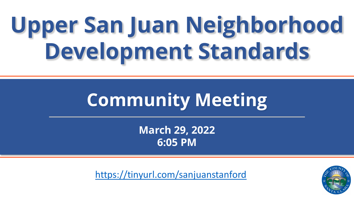### **Upper San Juan Neighborhood Development Standards**

### **Community Meeting**

**March 29, 2022 6:05 PM**

<https://tinyurl.com/sanjuanstanford>

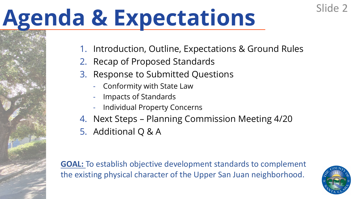### **Agenda & Expectations**

- 1. Introduction, Outline, Expectations & Ground Rules
- 2. Recap of Proposed Standards
- 3. Response to Submitted Questions
	- Conformity with State Law
	- Impacts of Standards
	- Individual Property Concerns
- 4. Next Steps Planning Commission Meeting 4/20
- 5. Additional Q & A

**GOAL:** To establish objective development standards to complement the existing physical character of the Upper San Juan neighborhood.



Slide 2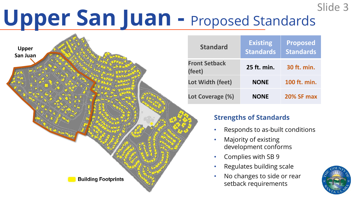### **Upper San Juan -** Proposed Standards Slide 3



| <b>Standard</b>                | <b>Existing</b><br><b>Standards</b> | <b>Proposed</b><br>Standards |
|--------------------------------|-------------------------------------|------------------------------|
| <b>Front Setback</b><br>(feet) | 25 ft. min.                         | 30 ft. min.                  |
| Lot Width (feet)               | <b>NONE</b>                         | 100 ft. min.                 |
| Lot Coverage (%)               | <b>NONE</b>                         | <b>20% SF max</b>            |

#### **Strengths of Standards**

- Responds to as-built conditions
- Majority of existing development conforms
- Complies with SB 9
- Regulates building scale
- No changes to side or rear setback requirements

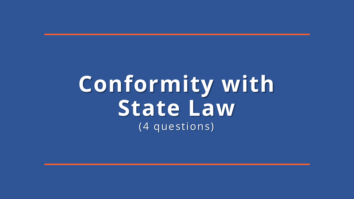### **Conformity with State Law** (4 questions)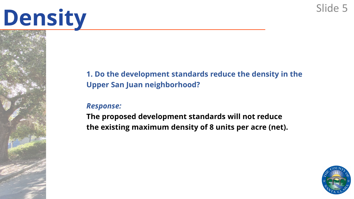#### **1. Do the development standards reduce the density in the Upper San Juan neighborhood?**

#### *Response:*

**The proposed development standards will not reduce the existing maximum density of 8 units per acre (net).**

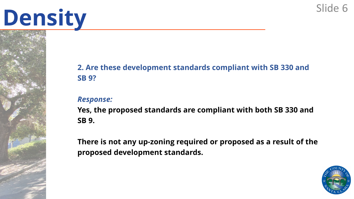#### **2. Are these development standards compliant with SB 330 and SB 9?**

#### *Response:*

**Yes, the proposed standards are compliant with both SB 330 and SB 9.**

**There is not any up-zoning required or proposed as a result of the proposed development standards.**

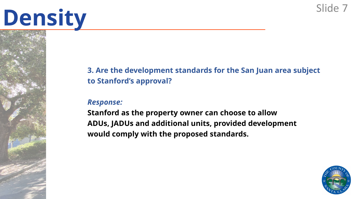#### **3. Are the development standards for the San Juan area subject to Stanford's approval?**

#### *Response:*

**Stanford as the property owner can choose to allow ADUs, JADUs and additional units, provided development would comply with the proposed standards.**

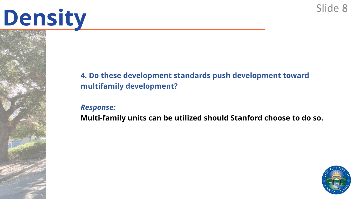#### **4. Do these development standards push development toward multifamily development?**

*Response:* **Multi-family units can be utilized should Stanford choose to do so.**

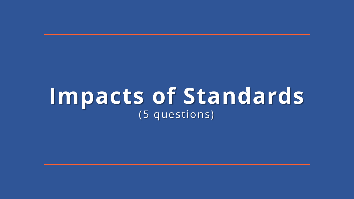### **Impacts of Standards** (5 questions)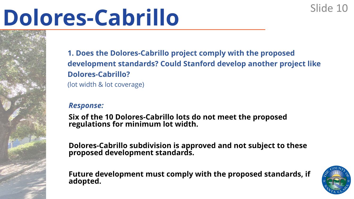### **Dolores-Cabrillo** Slide 10

**1. Does the Dolores-Cabrillo project comply with the proposed development standards? Could Stanford develop another project like Dolores-Cabrillo?** (lot width & lot coverage)

#### *Response:*

**Six of the 10 Dolores-Cabrillo lots do not meet the proposed regulations for minimum lot width.** 

**Dolores-Cabrillo subdivision is approved and not subject to these proposed development standards.** 

**Future development must comply with the proposed standards, if adopted.**

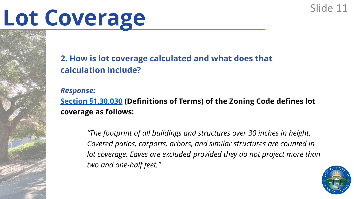# Lot Coverage Slide 11

**2. How is lot coverage calculated and what does that calculation include?**

*Response:*

**[Section §1.30.030](https://library.municode.com/ca/santa_clara_county/codes/code_of_ordinances?nodeId=TITCCODELAUS_APXIZO_ART1GEPR_CH1.30DEGETE_S1.30.030DETE) (Definitions of Terms) of the Zoning Code defines lot coverage as follows:**

> *"The footprint of all buildings and structures over 30 inches in height. Covered patios, carports, arbors, and similar structures are counted in lot coverage. Eaves are excluded provided they do not project more than two and one-half feet."*

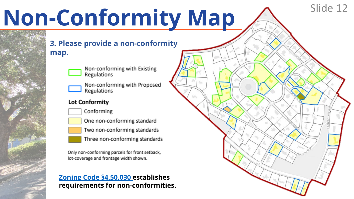# **Non-Conformity Map**  $\bigwedge^{\text{Slice 12}}$

**3. Please provide a non-conformity map.**



Non-conforming with Existing Regulations

Non-conforming with Proposed Regulations

#### Lot Conformity



Conforming



One non-conforming standard

Two non-conforming standards

Three non-conforming standards

Only non-conforming parcels for front setback, lot-coverage and frontage width shown.

#### **[Zoning Code §4.50.030 e](https://library.municode.com/ca/santa_clara_county/codes/code_of_ordinances?nodeId=TITCCODELAUS_APXIZO_ART4SUSTRE_CH4.50NOUSST_S4.50.030NOBU)stablishes requirements for non-conformities.**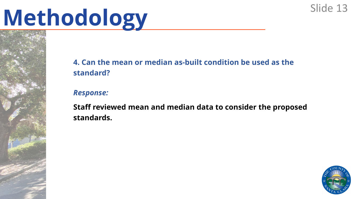# Methodology Slide 13

#### **4. Can the mean or median as-built condition be used as the standard?**

#### *Response:*

**Staff reviewed mean and median data to consider the proposed standards.** 

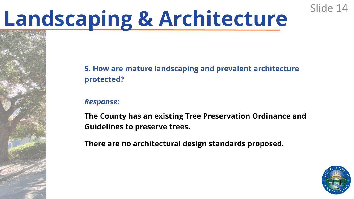# **Landscaping & Architecture** Slide 14

#### **5. How are mature landscaping and prevalent architecture protected?**

#### *Response:*

**The County has an existing Tree Preservation Ordinance and Guidelines to preserve trees.**

**There are no architectural design standards proposed.** 

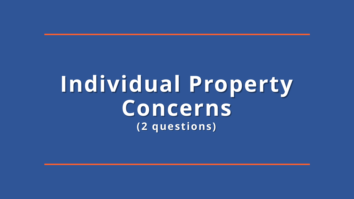### **Individual Property Concerns (2 questions)**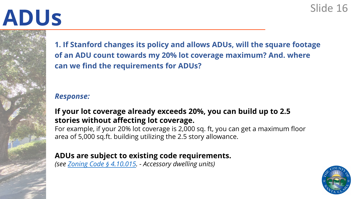# **ADUs** Slide 16

**1. If Stanford changes its policy and allows ADUs, will the square footage of an ADU count towards my 20% lot coverage maximum? And. where can we find the requirements for ADUs?**

#### *Response:*

#### **If your lot coverage already exceeds 20%, you can build up to 2.5 stories without affecting lot coverage.**

For example, if your 20% lot coverage is 2,000 sq. ft, you can get a maximum floor area of 5,000 sq.ft. building utilizing the 2.5 story allowance.

#### **ADUs are subject to existing code requirements.**

*(see [Zoning Code](https://library.municode.com/ca/santa_clara_county/codes/code_of_ordinances?nodeId=TITCCODELAUS_APXIZO_ART4SUSTRE_CH4.10SUUSRE_S4.10.015ACDWUN) § 4.10.015. - Accessory dwelling units)*

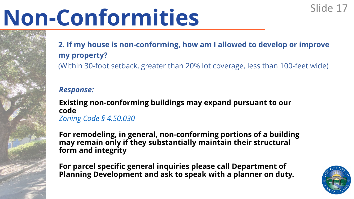# Non-Conformities<sup>Slide 17</sup>

### **2. If my house is non-conforming, how am I allowed to develop or improve my property?**

(Within 30-foot setback, greater than 20% lot coverage, less than 100-feet wide)

#### *Response:*

**Existing non-conforming buildings may expand pursuant to our code**  *[Zoning Code §](https://library.municode.com/ca/santa_clara_county/codes/code_of_ordinances?nodeId=TITCCODELAUS_APXIZO_ART4SUSTRE_CH4.50NOUSST_S4.50.030NOBU) 4.50.030*

**For remodeling, in general, non-conforming portions of a building may remain only if they substantially maintain their structural form and integrity**

**For parcel specific general inquiries please call Department of Planning Development and ask to speak with a planner on duty.**

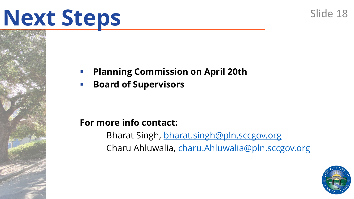### **Next Steps**

### **Planning Commission on April 20th**

**Board of Supervisors**

### **For more info contact:**

Bharat Singh, [bharat.singh@pln.sccgov.org](mailto:bharat.singh@pln.sccgov.org) Charu Ahluwalia, [charu.Ahluwalia@pln.sccgov.org](mailto:charu.Ahluwalia@pln.sccgov.org)